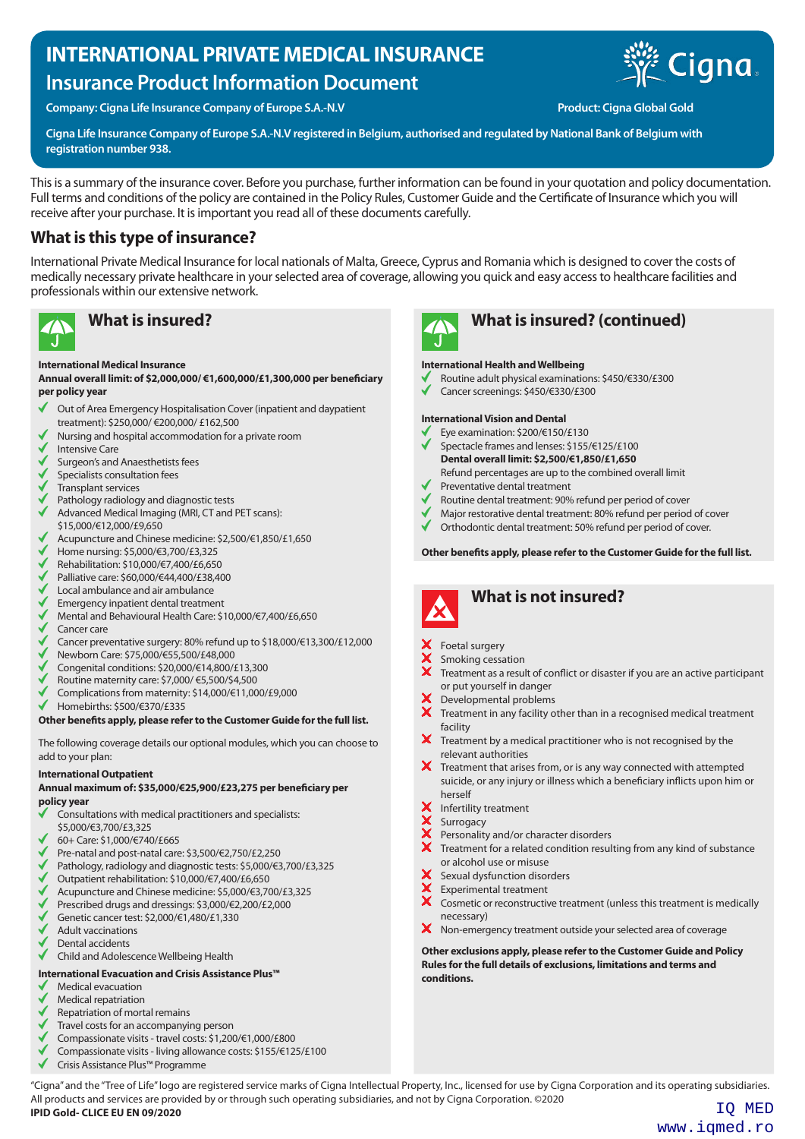# **INTERNATIONAL PRIVATE MEDICAL INSURANCE Insurance Product Information Document**



**Company: Cigna Life Insurance Company of Europe S.A.-N.V Production Company: Cigna Global Gold** 

**Cigna Life Insurance Company of Europe S.A.-N.V registered in Belgium, authorised and regulated by National Bank of Belgium with registration number 938.**

This is a summary of the insurance cover. Before you purchase, further information can be found in your quotation and policy documentation. Full terms and conditions of the policy are contained in the Policy Rules, Customer Guide and the Certificate of Insurance which you will receive after your purchase. It is important you read all of these documents carefully.

# **What is this type of insurance?**

International Private Medical Insurance for local nationals of Malta, Greece, Cyprus and Romania which is designed to cover the costs of medically necessary private healthcare in your selected area of coverage, allowing you quick and easy access to healthcare facilities and professionals within our extensive network.



### **International Medical Insurance**

### **Annual overall limit: of \$2,000,000/ €1,600,000/£1,300,000 per beneficiary per policy year**

- Out of Area Emergency Hospitalisation Cover (inpatient and daypatient Ń treatment): \$250,000/ €200,000/ £162,500
- Nursing and hospital accommodation for a private room
- Intensive Care
- Surgeon's and Anaesthetists fees
- Specialists consultation fees
- Transplant services
- Pathology radiology and diagnostic tests
- Advanced Medical Imaging (MRI, CT and PET scans):
- \$15,000/€12,000/£9,650
- Acupuncture and Chinese medicine: \$2,500/€1,850/£1,650
- Home nursing: \$5,000/€3,700/£3,325
- Rehabilitation: \$10,000/€7,400/£6,650
- Palliative care: \$60,000/€44,400/£38,400
- Local ambulance and air ambulance
- Emergency inpatient dental treatment
- Mental and Behavioural Health Care: \$10,000/€7,400/£6,650
- Cancer care
- Cancer preventative surgery: 80% refund up to \$18,000/€13,300/£12,000
- Newborn Care: \$75,000/€55,500/£48,000
- Congenital conditions: \$20,000/€14,800/£13,300
- Routine maternity care: \$7,000/ €5,500/\$4,500
- Complications from maternity: \$14,000/€11,000/£9,000
- Homebirths: \$500/€370/£335

**Other benefits apply, please refer to the Customer Guide for the full list.**

The following coverage details our optional modules, which you can choose to add to your plan:

### **International Outpatient**

### **Annual maximum of: \$35,000/€25,900/£23,275 per beneficiary per policy year**

- Consultations with medical practitioners and specialists:
- \$5,000/€3,700/£3,325
- 60+ Care: \$1,000/€740/£665
- Pre-natal and post-natal care: \$3,500/€2,750/£2,250
- Pathology, radiology and diagnostic tests: \$5,000/€3,700/£3,325
- Outpatient rehabilitation: \$10,000/€7,400/£6,650
- Acupuncture and Chinese medicine: \$5,000/€3,700/£3,325 Prescribed drugs and dressings: \$3,000/€2,200/£2,000
- Genetic cancer test: \$2,000/€1,480/£1,330
- Adult vaccinations
- Dental accidents
- Child and Adolescence Wellbeing Health

### **International Evacuation and Crisis Assistance Plus™**

- Medical evacuation
- Medical repatriation
- Repatriation of mortal remains
- Travel costs for an accompanying person
- Compassionate visits travel costs: \$1,200/€1,000/£800
- Compassionate visits living allowance costs: \$155/€125/£100
- Crisis Assistance Plus™ Programme



# **What is insured? What is insured? (continued)**

### **International Health and Wellbeing**

- Routine adult physical examinations: \$450/€330/£300
- Cancer screenings: \$450/€330/£300

### **International Vision and Dental**

- Eye examination: \$200/€150/£130
- Spectacle frames and lenses: \$155/€125/£100 **Dental overall limit: \$2,500/€1,850/£1,650** Refund percentages are up to the combined overall limit
- Preventative dental treatment
- Routine dental treatment: 90% refund per period of cover
- Major restorative dental treatment: 80% refund per period of cover
- Orthodontic dental treatment: 50% refund per period of cover.

### **Other benefits apply, please refer to the Customer Guide for the full list.**



# **What is not insured?**

- Foetal surgery
- Smoking cessation
- Treatment as a result of conflict or disaster if you are an active participant or put yourself in danger
- Developmental problems
- $\mathsf{x}$ Treatment in any facility other than in a recognised medical treatment facility
- × Treatment by a medical practitioner who is not recognised by the relevant authorities
- Treatment that arises from, or is any way connected with attempted suicide, or any injury or illness which a beneficiary inflicts upon him or herself
- Infertility treatment
- **XXX** Surrogacy
- Personality and/or character disorders
- $\boldsymbol{\times}$  Treatment for a related condition resulting from any kind of substance or alcohol use or misuse
- Sexual dysfunction disorders
- Experimental treatment
- $\overline{\mathbf{x}}$ Cosmetic or reconstructive treatment (unless this treatment is medically necessary)
- X Non-emergency treatment outside your selected area of coverage

**Other exclusions apply, please refer to the Customer Guide and Policy Rules for the full details of exclusions, limitations and terms and conditions.**

"Cigna" and the "Tree of Life" logo are registered service marks of Cigna Intellectual Property, Inc., licensed for use by Cigna Corporation and its operating subsidiaries. All products and services are provided by or through such operating subsidiaries, and not by Cigna Corporation. ©2020 **IPID Gold- CLICE EU EN 09/2020** IQ MED

www.iqmed.ro